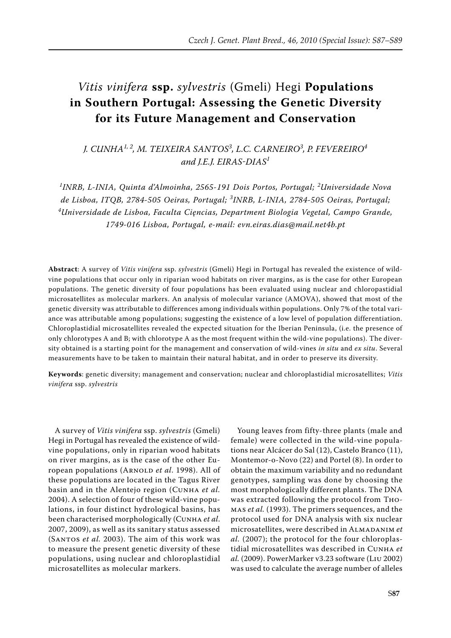## *Vitis vinifera* **ssp.** *sylvestris* (Gmeli) Hegi **Populations in Southern Portugal: Assessing the Genetic Diversity for its Future Management and Conservation**

*J. Cunha1, 2, M. Teixeira Santos3 , L.C. Carneiro<sup>3</sup> , P. Fevereiro<sup>4</sup> and J.E.J. Eiras-Dias<sup>1</sup>*

<sup>1</sup>INRB, L-INIA, Quinta d'Almoinha, 2565-191 Dois Portos, Portugal; <sup>2</sup>Universidade Nova *de Lisboa, ITQB, 2784-505 Oeiras, Portugal; <sup>3</sup> INRB, L-INIA, 2784-505 Oeiras, Portugal; 4 Universidade de Lisboa, Faculta Cięncias, Department Biologia Vegetal, Campo Grande, 1749-016 Lisboa, Portugal, e-mail: evn.eiras.dias@mail.net4b.pt*

**Abstract**: A survey of *Vitis vinifera* ssp. *sylvestris* (Gmeli) Hegi in Portugal has revealed the existence of wildvine populations that occur only in riparian wood habitats on river margins, as is the case for other European populations. The genetic diversity of four populations has been evaluated using nuclear and chloropastidial microsatellites as molecular markers. An analysis of molecular variance (AMOVA), showed that most of the genetic diversity was attributable to differences among individuals within populations. Only 7% of the total variance was attributable among populations; suggesting the existence of a low level of population differentiation. Chloroplastidial microsatellites revealed the expected situation for the Iberian Peninsula, (i.e. the presence of only chlorotypes A and B; with chlorotype A as the most frequent within the wild-vine populations). The diversity obtained is a starting point for the management and conservation of wild-vines *in situ* and *ex situ*. Several measurements have to be taken to maintain their natural habitat, and in order to preserve its diversity.

**Keywords**: genetic diversity; management and conservation; nuclear and chloroplastidial microsatellites; *Vitis vinifera* ssp. *sylvestris*

A survey of *Vitis vinifera* ssp. *sylvestris* (Gmeli) Hegi in Portugal has revealed the existence of wildvine populations, only in riparian wood habitats on river margins, as is the case of the other European populations (ARNOLD *et al.* 1998). All of these populations are located in the Tagus River basin and in the Alentejo region (Cunha *et al.* 2004). A selection of four of these wild-vine populations, in four distinct hydrological basins, has been characterised morphologically (Cunha *et al*. 2007, 2009), as well as its sanitary status assessed (SANTOS *et al.* 2003). The aim of this work was to measure the present genetic diversity of these populations, using nuclear and chloroplastidial microsatellites as molecular markers.

Young leaves from fifty-three plants (male and female) were collected in the wild-vine populations near Alcácer do Sal (12), Castelo Branco (11), Montemor-o-Novo (22) and Portel (8). In order to obtain the maximum variability and no redundant genotypes, sampling was done by choosing the most morphologically different plants. The DNA was extracted following the protocol from Thomas *et al.* (1993). The primers sequences, and the protocol used for DNA analysis with six nuclear microsatellites, were described in Almadanim *et al.* (2007); the protocol for the four chloroplastidial microsatellites was described in Cunha *et al.* (2009). PowerMarker v3.23 software (Liu 2002) was used to calculate the average number of alleles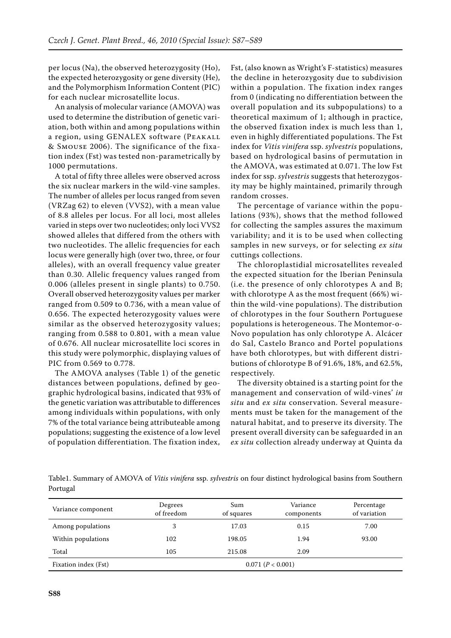per locus (Na), the observed heterozygosity (Ho), the expected heterozygosity or gene diversity (He), and the Polymorphism Information Content (PIC) for each nuclear microsatellite locus.

An analysis of molecular variance (AMOVA) was used to determine the distribution of genetic variation, both within and among populations within a region, using GENALEX software (Peakall & Smouse 2006). The significance of the fixation index (Fst) was tested non-parametrically by 1000 permutations.

A total of fifty three alleles were observed across the six nuclear markers in the wild-vine samples. The number of alleles per locus ranged from seven (VRZag 62) to eleven (VVS2), with a mean value of 8.8 alleles per locus. For all loci, most alleles varied in steps over two nucleotides; only loci VVS2 showed alleles that differed from the others with two nucleotides. The allelic frequencies for each locus were generally high (over two, three, or four alleles), with an overall frequency value greater than 0.30. Allelic frequency values ranged from 0.006 (alleles present in single plants) to 0.750. Overall observed heterozygosity values per marker ranged from 0.509 to 0.736, with a mean value of 0.656. The expected heterozygosity values were similar as the observed heterozygosity values; ranging from 0.588 to 0.801, with a mean value of 0.676. All nuclear microsatellite loci scores in this study were polymorphic, displaying values of PIC from 0.569 to 0.778.

The AMOVA analyses (Table 1) of the genetic distances between populations, defined by geographic hydrological basins, indicated that 93% of the genetic variation was attributable to differences among individuals within populations, with only 7% of the total variance being attributeable among populations; suggesting the existence of a low level of population differentiation. The fixation index,

Fst, (also known as Wright's F-statistics) measures the decline in heterozygosity due to subdivision within a population. The fixation index ranges from 0 (indicating no differentiation between the overall population and its subpopulations) to a theoretical maximum of 1; although in practice, the observed fixation index is much less than 1, even in highly differentiated populations. The Fst index for *Vitis vinifera* ssp. *sylvestris* populations, based on hydrological basins of permutation in the AMOVA, was estimated at 0.071. The low Fst index for ssp. *sylvestris* suggests that heterozygosity may be highly maintained, primarily through random crosses.

The percentage of variance within the populations (93%), shows that the method followed for collecting the samples assures the maximum variability; and it is to be used when collecting samples in new surveys, or for selecting *ex situ* cuttings collections.

The chloroplastidial microsatellites revealed the expected situation for the Iberian Peninsula (i.e. the presence of only chlorotypes A and B; with chlorotype A as the most frequent (66%) within the wild-vine populations). The distribution of chlorotypes in the four Southern Portuguese populations is heterogeneous. The Montemor-o-Novo population has only chlorotype A. Alcácer do Sal, Castelo Branco and Portel populations have both chlorotypes, but with different distributions of chlorotype B of 91.6%, 18%, and 62.5%, respectively.

The diversity obtained is a starting point for the management and conservation of wild-vines' *in situ* and *ex situ* conservation. Several measurements must be taken for the management of the natural habitat, and to preserve its diversity. The present overall diversity can be safeguarded in an *ex situ* collection already underway at Quinta da

Table1. Summary of AMOVA of *Vitis vinifera* ssp. *sylvestris* on four distinct hydrological basins from Southern Portugal

| Variance component   | Degrees<br>of freedom | Sum<br>of squares | Variance<br>components | Percentage<br>of variation |
|----------------------|-----------------------|-------------------|------------------------|----------------------------|
| Among populations    | 3                     | 17.03             | 0.15                   | 7.00                       |
| Within populations   | 102                   | 198.05            | 1.94                   | 93.00                      |
| Total                | 105                   | 215.08            | 2.09                   |                            |
| Fixation index (Fst) | 0.071 (P < 0.001)     |                   |                        |                            |